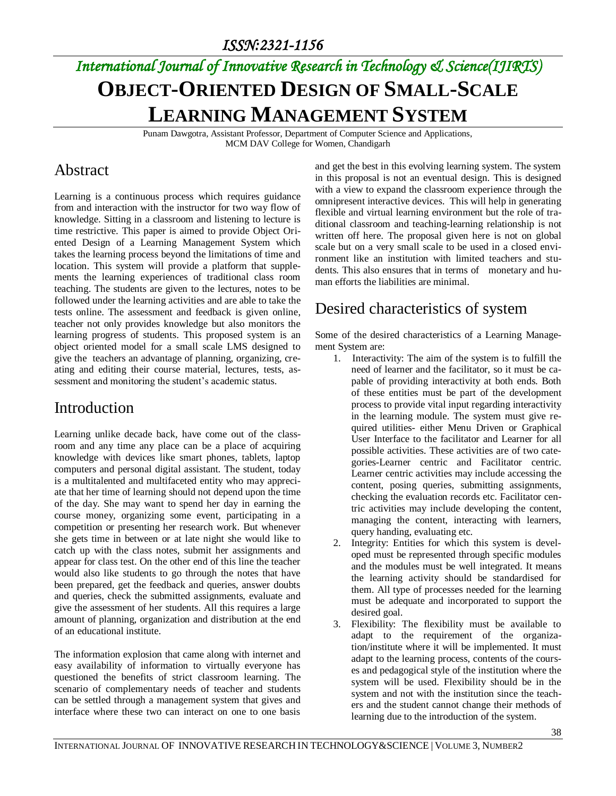# *International Journal of Innovative Research in Technology & Science(IJIRTS)* **OBJECT-ORIENTED DESIGN OF SMALL-SCALE LEARNING MANAGEMENT SYSTEM**

Punam Dawgotra, Assistant Professor, Department of Computer Science and Applications, MCM DAV College for Women, Chandigarh

### Abstract

Learning is a continuous process which requires guidance from and interaction with the instructor for two way flow of knowledge. Sitting in a classroom and listening to lecture is time restrictive. This paper is aimed to provide Object Oriented Design of a Learning Management System which takes the learning process beyond the limitations of time and location. This system will provide a platform that supplements the learning experiences of traditional class room teaching. The students are given to the lectures, notes to be followed under the learning activities and are able to take the tests online. The assessment and feedback is given online, teacher not only provides knowledge but also monitors the learning progress of students. This proposed system is an object oriented model for a small scale LMS designed to give the teachers an advantage of planning, organizing, creating and editing their course material, lectures, tests, assessment and monitoring the student's academic status.

## Introduction

Learning unlike decade back, have come out of the classroom and any time any place can be a place of acquiring knowledge with devices like smart phones, tablets, laptop computers and personal digital assistant. The student, today is a multitalented and multifaceted entity who may appreciate that her time of learning should not depend upon the time of the day. She may want to spend her day in earning the course money, organizing some event, participating in a competition or presenting her research work. But whenever she gets time in between or at late night she would like to catch up with the class notes, submit her assignments and appear for class test. On the other end of this line the teacher would also like students to go through the notes that have been prepared, get the feedback and queries, answer doubts and queries, check the submitted assignments, evaluate and give the assessment of her students. All this requires a large amount of planning, organization and distribution at the end of an educational institute.

The information explosion that came along with internet and easy availability of information to virtually everyone has questioned the benefits of strict classroom learning. The scenario of complementary needs of teacher and students can be settled through a management system that gives and interface where these two can interact on one to one basis

and get the best in this evolving learning system. The system in this proposal is not an eventual design. This is designed with a view to expand the classroom experience through the omnipresent interactive devices. This will help in generating flexible and virtual learning environment but the role of traditional classroom and teaching-learning relationship is not written off here. The proposal given here is not on global scale but on a very small scale to be used in a closed environment like an institution with limited teachers and students. This also ensures that in terms of monetary and human efforts the liabilities are minimal.

## Desired characteristics of system

Some of the desired characteristics of a Learning Management System are:

- 1. Interactivity: The aim of the system is to fulfill the need of learner and the facilitator, so it must be capable of providing interactivity at both ends. Both of these entities must be part of the development process to provide vital input regarding interactivity in the learning module. The system must give required utilities- either Menu Driven or Graphical User Interface to the facilitator and Learner for all possible activities. These activities are of two categories-Learner centric and Facilitator centric. Learner centric activities may include accessing the content, posing queries, submitting assignments, checking the evaluation records etc. Facilitator centric activities may include developing the content, managing the content, interacting with learners, query handing, evaluating etc.
- 2. Integrity: Entities for which this system is developed must be represented through specific modules and the modules must be well integrated. It means the learning activity should be standardised for them. All type of processes needed for the learning must be adequate and incorporated to support the desired goal.
- 3. Flexibility: The flexibility must be available to adapt to the requirement of the organization/institute where it will be implemented. It must adapt to the learning process, contents of the courses and pedagogical style of the institution where the system will be used. Flexibility should be in the system and not with the institution since the teachers and the student cannot change their methods of learning due to the introduction of the system.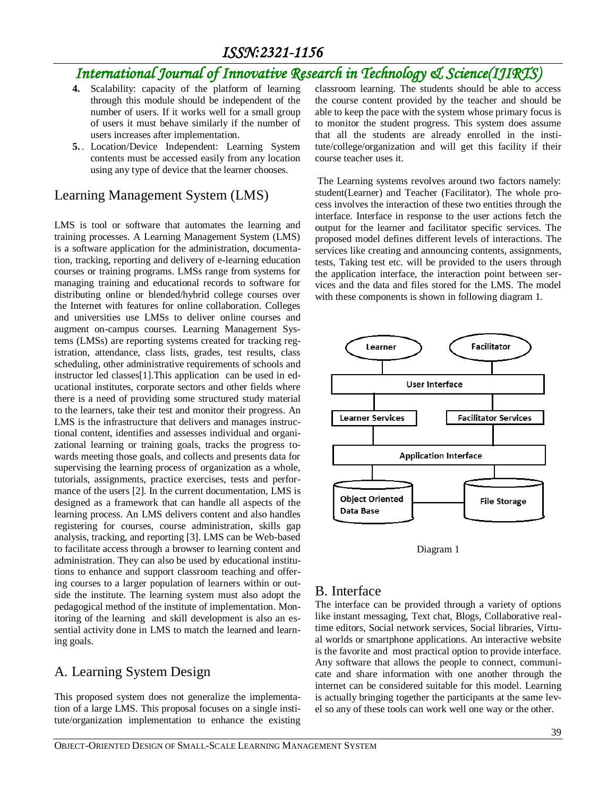## *International Journal of Innovative Research in Technology & Science(IJIRTS)*

- **4.** Scalability: capacity of the platform of learning through this module should be independent of the number of users. If it works well for a small group of users it must behave similarly if the number of users increases after implementation.
- **5.** . Location/Device Independent: Learning System contents must be accessed easily from any location using any type of device that the learner chooses.

#### Learning Management System (LMS)

LMS is tool or software that automates the learning and training processes. A Learning Management System (LMS) is a software application for the administration, documentation, tracking, reporting and delivery of e-learning education courses or training programs. LMSs range from systems for managing training and educational records to software for distributing online or blended/hybrid college courses over the Internet with features for online collaboration. Colleges and universities use LMSs to deliver online courses and augment on-campus courses. Learning Management Systems (LMSs) are reporting systems created for tracking registration, attendance, class lists, grades, test results, class scheduling, other administrative requirements of schools and instructor led classes[1].This application can be used in educational institutes, corporate sectors and other fields where there is a need of providing some structured study material to the learners, take their test and monitor their progress. An LMS is the infrastructure that delivers and manages instructional content, identifies and assesses individual and organizational learning or training goals, tracks the progress towards meeting those goals, and collects and presents data for supervising the learning process of organization as a whole, tutorials, assignments, practice exercises, tests and performance of the users [2]. In the current documentation, LMS is designed as a framework that can handle all aspects of the learning process. An LMS delivers content and also handles registering for courses, course administration, skills gap analysis, tracking, and reporting [3]. LMS can be Web-based to facilitate access through a browser to learning content and administration. They can also be used by educational institutions to enhance and support classroom teaching and offering courses to a larger population of learners within or outside the institute. The learning system must also adopt the pedagogical method of the institute of implementation. Monitoring of the learning and skill development is also an essential activity done in LMS to match the learned and learning goals.

### A. Learning System Design

This proposed system does not generalize the implementation of a large LMS. This proposal focuses on a single institute/organization implementation to enhance the existing classroom learning. The students should be able to access the course content provided by the teacher and should be able to keep the pace with the system whose primary focus is to monitor the student progress. This system does assume that all the students are already enrolled in the institute/college/organization and will get this facility if their course teacher uses it.

The Learning systems revolves around two factors namely: student(Learner) and Teacher (Facilitator). The whole process involves the interaction of these two entities through the interface. Interface in response to the user actions fetch the output for the learner and facilitator specific services. The proposed model defines different levels of interactions. The services like creating and announcing contents, assignments, tests, Taking test etc. will be provided to the users through the application interface, the interaction point between services and the data and files stored for the LMS. The model with these components is shown in following diagram 1.



Diagram 1

### B. Interface

The interface can be provided through a variety of options like instant messaging, Text chat, Blogs, Collaborative realtime editors, Social network services, Social libraries, Virtual worlds or smartphone applications. An interactive website is the favorite and most practical option to provide interface. Any software that allows the people to connect, communicate and share information with one another through the internet can be considered suitable for this model. Learning is actually bringing together the participants at the same level so any of these tools can work well one way or the other.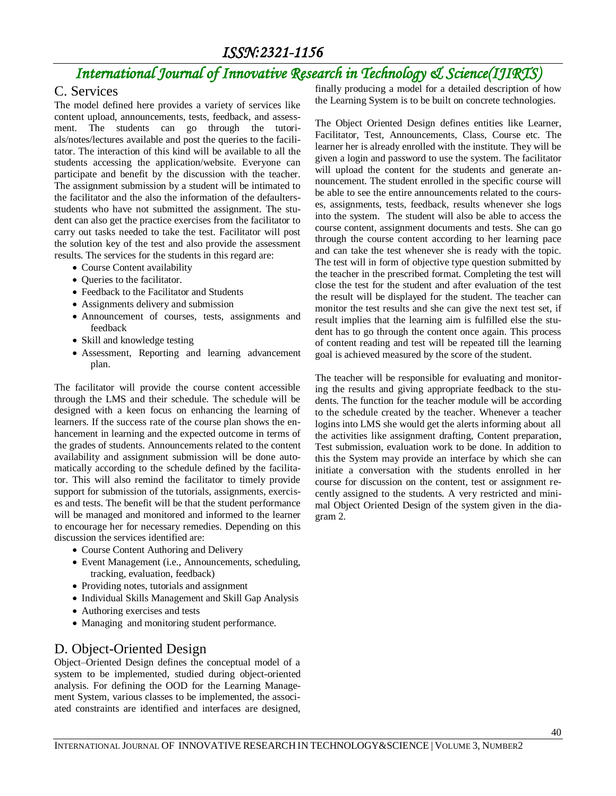## *International Journal of Innovative Research in Technology & Science(IJIRTS)*

#### C. Services

The model defined here provides a variety of services like content upload, announcements, tests, feedback, and assessment. The students can go through the tutorials/notes/lectures available and post the queries to the facilitator. The interaction of this kind will be available to all the students accessing the application/website. Everyone can participate and benefit by the discussion with the teacher. The assignment submission by a student will be intimated to the facilitator and the also the information of the defaultersstudents who have not submitted the assignment. The student can also get the practice exercises from the facilitator to carry out tasks needed to take the test. Facilitator will post the solution key of the test and also provide the assessment results. The services for the students in this regard are:

- Course Content availability
- Oueries to the facilitator.
- Feedback to the Facilitator and Students
- Assignments delivery and submission
- Announcement of courses, tests, assignments and feedback
- Skill and knowledge testing
- Assessment, Reporting and learning advancement plan.

The facilitator will provide the course content accessible through the LMS and their schedule. The schedule will be designed with a keen focus on enhancing the learning of learners. If the success rate of the course plan shows the enhancement in learning and the expected outcome in terms of the grades of students. Announcements related to the content availability and assignment submission will be done automatically according to the schedule defined by the facilitator. This will also remind the facilitator to timely provide support for submission of the tutorials, assignments, exercises and tests. The benefit will be that the student performance will be managed and monitored and informed to the learner to encourage her for necessary remedies. Depending on this discussion the services identified are:

- Course Content Authoring and Delivery
- Event Management (i.e., Announcements, scheduling, tracking, evaluation, feedback)
- Providing notes, tutorials and assignment
- Individual Skills Management and Skill Gap Analysis
- Authoring exercises and tests
- Managing and monitoring student performance.

#### D. Object-Oriented Design

Object–Oriented Design defines the conceptual model of a system to be implemented, studied during object-oriented analysis. For defining the OOD for the Learning Management System, various classes to be implemented, the associated constraints are identified and interfaces are designed,

finally producing a model for a detailed description of how the Learning System is to be built on concrete technologies.

The Object Oriented Design defines entities like Learner, Facilitator, Test, Announcements, Class, Course etc. The learner her is already enrolled with the institute. They will be given a login and password to use the system. The facilitator will upload the content for the students and generate announcement. The student enrolled in the specific course will be able to see the entire announcements related to the courses, assignments, tests, feedback, results whenever she logs into the system. The student will also be able to access the course content, assignment documents and tests. She can go through the course content according to her learning pace and can take the test whenever she is ready with the topic. The test will in form of objective type question submitted by the teacher in the prescribed format. Completing the test will close the test for the student and after evaluation of the test the result will be displayed for the student. The teacher can monitor the test results and she can give the next test set, if result implies that the learning aim is fulfilled else the student has to go through the content once again. This process of content reading and test will be repeated till the learning goal is achieved measured by the score of the student.

The teacher will be responsible for evaluating and monitoring the results and giving appropriate feedback to the students. The function for the teacher module will be according to the schedule created by the teacher. Whenever a teacher logins into LMS she would get the alerts informing about all the activities like assignment drafting, Content preparation, Test submission, evaluation work to be done. In addition to this the System may provide an interface by which she can initiate a conversation with the students enrolled in her course for discussion on the content, test or assignment recently assigned to the students. A very restricted and minimal Object Oriented Design of the system given in the diagram 2.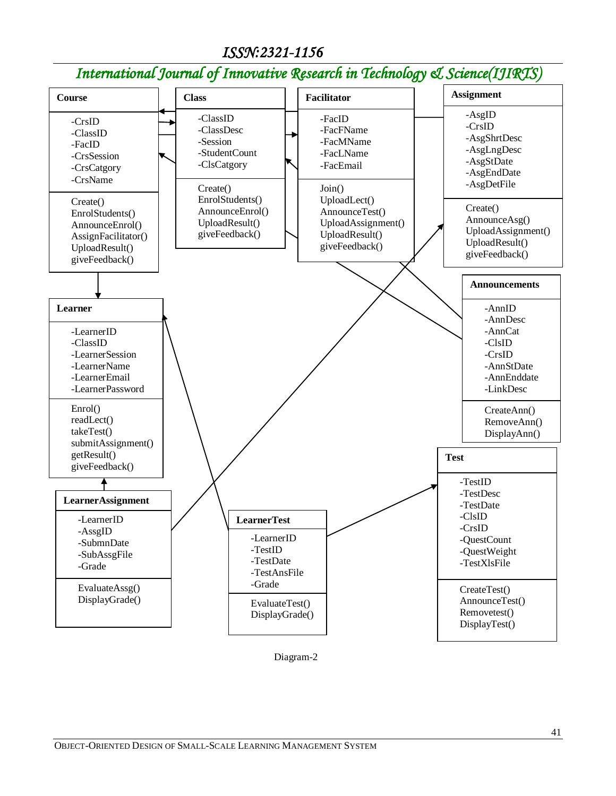## *International Journal of Innovative Research in Technology & Science(IJIRTS)*



Diagram-2